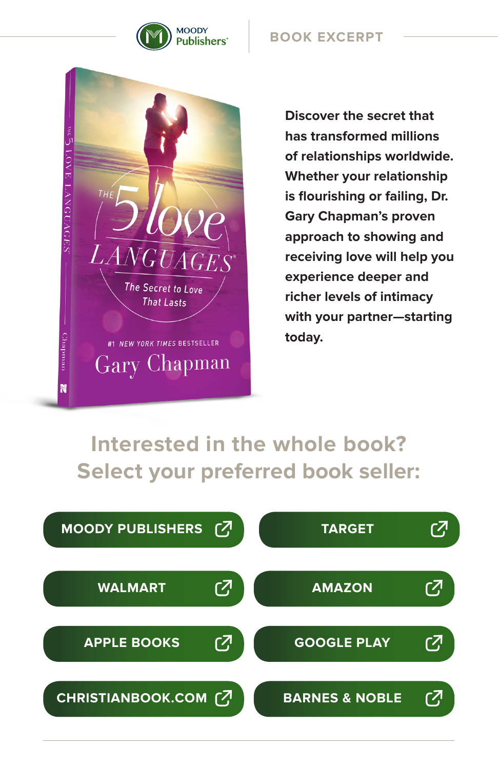

#### **BOOK EXCERPT**



**Discover the secret that has transformed millions of relationships worldwide. Whether your relationship is flourishing or failing, Dr. Gary Chapman's proven approach to showing and receiving love will help you experience deeper and richer levels of intimacy with your partner—starting today.**

### **Interested in the whole book? Select your preferred book seller:**

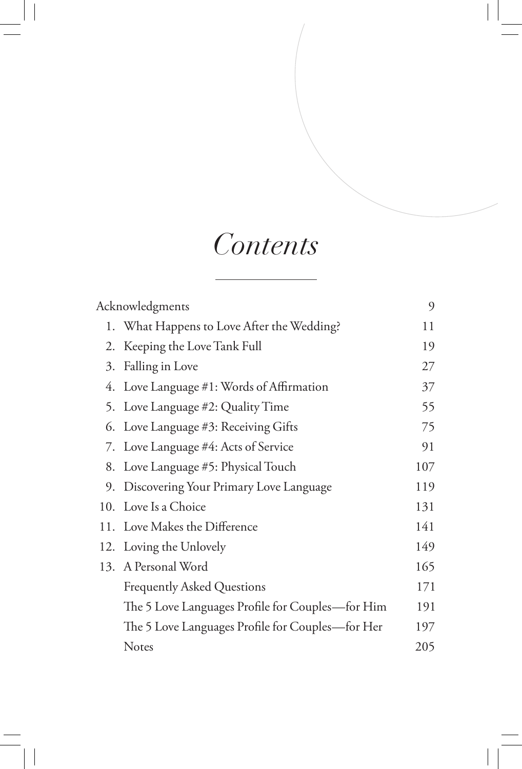## *Contents*

| Acknowledgments |                                                  | 9   |
|-----------------|--------------------------------------------------|-----|
|                 | 1. What Happens to Love After the Wedding?       | 11  |
|                 | 2. Keeping the Love Tank Full                    | 19  |
|                 | 3. Falling in Love                               | 27  |
|                 | 4. Love Language #1: Words of Affirmation        | 37  |
|                 | 5. Love Language #2: Quality Time                | 55  |
|                 | 6. Love Language #3: Receiving Gifts             | 75  |
|                 | 7. Love Language #4: Acts of Service             | 91  |
|                 | 8. Love Language #5: Physical Touch              | 107 |
|                 | 9. Discovering Your Primary Love Language        | 119 |
|                 | 10. Love Is a Choice                             | 131 |
|                 | 11. Love Makes the Difference                    | 141 |
|                 | 12. Loving the Unlovely                          | 149 |
|                 | 13. A Personal Word                              | 165 |
|                 | <b>Frequently Asked Questions</b>                | 171 |
|                 | The 5 Love Languages Profile for Couples—for Him | 191 |
|                 | The 5 Love Languages Profile for Couples—for Her | 197 |
|                 | <b>Notes</b>                                     | 205 |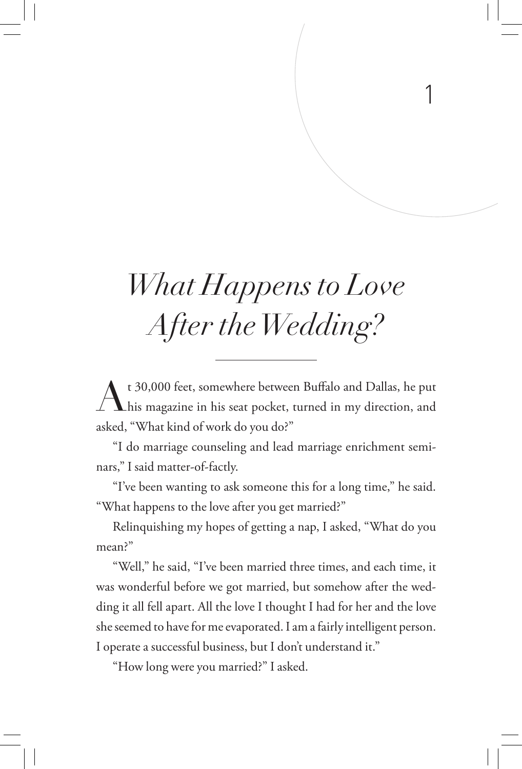# *What Happens to Love After the Wedding?*

1

At 30,000 feet, somewhere between Buffalo and Dallas, he put his magazine in his seat pocket, turned in my direction, and asked, "What kind of work do you do?"

"I do marriage counseling and lead marriage enrichment seminars," I said matter-of-factly.

"I've been wanting to ask someone this for a long time," he said. "What happens to the love after you get married?"

Relinquishing my hopes of getting a nap, I asked, "What do you mean?"

"Well," he said, "I've been married three times, and each time, it was wonderful before we got married, but somehow after the wedding it all fell apart. All the love I thought I had for her and the love she seemed to have for me evaporated. I am a fairly intelligent person. I operate a successful business, but I don't understand it."

"How long were you married?" I asked.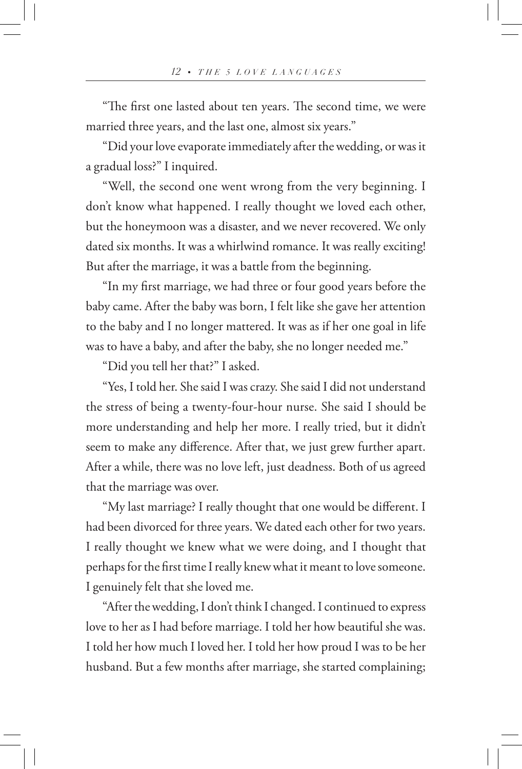"The first one lasted about ten years. The second time, we were married three years, and the last one, almost six years."

"Did your love evaporate immediately after the wedding, or was it a gradual loss?" I inquired.

"Well, the second one went wrong from the very beginning. I don't know what happened. I really thought we loved each other, but the honeymoon was a disaster, and we never recovered. We only dated six months. It was a whirlwind romance. It was really exciting! But after the marriage, it was a battle from the beginning.

"In my first marriage, we had three or four good years before the baby came. After the baby was born, I felt like she gave her attention to the baby and I no longer mattered. It was as if her one goal in life was to have a baby, and after the baby, she no longer needed me."

"Did you tell her that?" I asked.

"Yes, I told her. She said I was crazy. She said I did not understand the stress of being a twenty-four-hour nurse. She said I should be more understanding and help her more. I really tried, but it didn't seem to make any difference. After that, we just grew further apart. After a while, there was no love left, just deadness. Both of us agreed that the marriage was over.

"My last marriage? I really thought that one would be different. I had been divorced for three years. We dated each other for two years. I really thought we knew what we were doing, and I thought that perhaps for the first time I really knew what it meant to love someone. I genuinely felt that she loved me.

"After the wedding, I don't think I changed. I continued to express love to her as I had before marriage. I told her how beautiful she was. I told her how much I loved her. I told her how proud I was to be her husband. But a few months after marriage, she started complaining;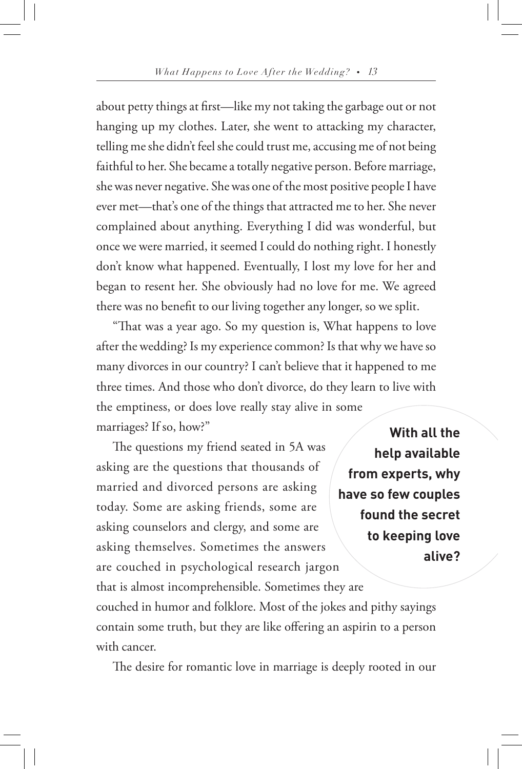about petty things at first—like my not taking the garbage out or not hanging up my clothes. Later, she went to attacking my character, telling me she didn't feel she could trust me, accusing me of not being faithful to her. She became a totally negative person. Before marriage, she was never negative. She was one of the most positive people I have ever met—that's one of the things that attracted me to her. She never complained about anything. Everything I did was wonderful, but once we were married, it seemed I could do nothing right. I honestly don't know what happened. Eventually, I lost my love for her and began to resent her. She obviously had no love for me. We agreed there was no benefit to our living together any longer, so we split.

"That was a year ago. So my question is, What happens to love after the wedding? Is my experience common? Is that why we have so many divorces in our country? I can't believe that it happened to me three times. And those who don't divorce, do they learn to live with the emptiness, or does love really stay alive in some marriages? If so, how?"

The questions my friend seated in 5A was asking are the questions that thousands of married and divorced persons are asking today. Some are asking friends, some are asking counselors and clergy, and some are asking themselves. Sometimes the answers are couched in psychological research jargon that is almost incomprehensible. Sometimes they are

**With all the help available from experts, why have so few couples found the secret to keeping love alive?**

couched in humor and folklore. Most of the jokes and pithy sayings contain some truth, but they are like offering an aspirin to a person with cancer.

The desire for romantic love in marriage is deeply rooted in our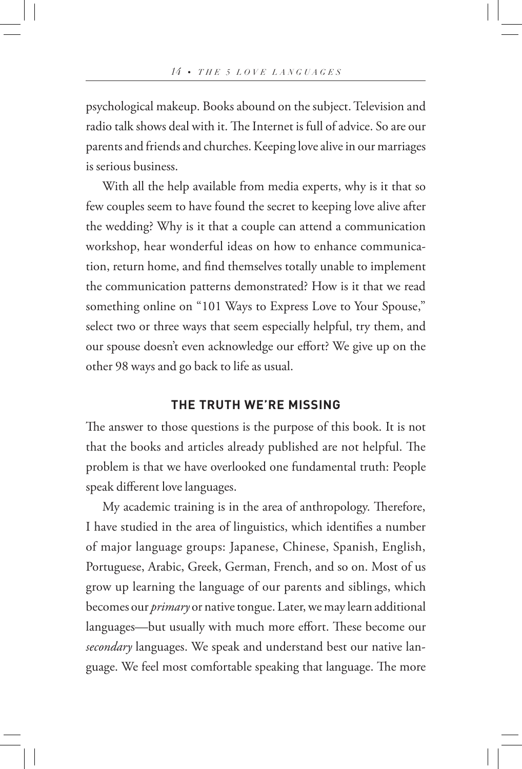psychological makeup. Books abound on the subject. Television and radio talk shows deal with it. The Internet is full of advice. So are our parents and friends and churches. Keeping love alive in our marriages is serious business.

With all the help available from media experts, why is it that so few couples seem to have found the secret to keeping love alive after the wedding? Why is it that a couple can attend a communication workshop, hear wonderful ideas on how to enhance communication, return home, and find themselves totally unable to implement the communication patterns demonstrated? How is it that we read something online on "101 Ways to Express Love to Your Spouse," select two or three ways that seem especially helpful, try them, and our spouse doesn't even acknowledge our effort? We give up on the other 98 ways and go back to life as usual.

#### **THE TRUTH WE'RE MISSING**

The answer to those questions is the purpose of this book. It is not that the books and articles already published are not helpful. The problem is that we have overlooked one fundamental truth: People speak different love languages.

My academic training is in the area of anthropology. Therefore, I have studied in the area of linguistics, which identifies a number of major language groups: Japanese, Chinese, Spanish, English, Portuguese, Arabic, Greek, German, French, and so on. Most of us grow up learning the language of our parents and siblings, which becomes our *primary* or native tongue. Later, we may learn additional languages—but usually with much more effort. These become our *secondary* languages. We speak and understand best our native language. We feel most comfortable speaking that language. The more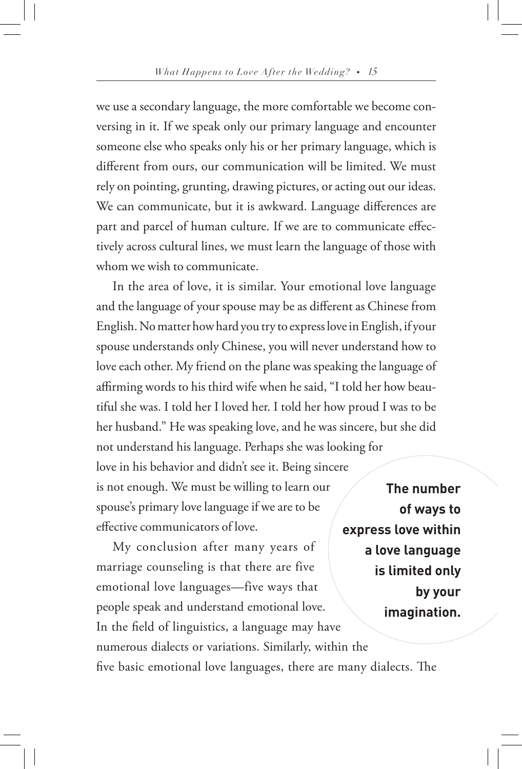we use a secondary language, the more comfortable we become conversing in it. If we speak only our primary language and encounter someone else who speaks only his or her primary language, which is different from ours, our communication will be limited. We must rely on pointing, grunting, drawing pictures, or acting out our ideas. We can communicate, but it is awkward. Language differences are part and parcel of human culture. If we are to communicate effectively across cultural lines, we must learn the language of those with whom we wish to communicate.

In the area of love, it is similar. Your emotional love language and the language of your spouse may be as different as Chinese from English. No matter how hard you try to express love in English, if your spouse understands only Chinese, you will never understand how to love each other. My friend on the plane was speaking the language of affirming words to his third wife when he said, "I told her how beautiful she was. I told her I loved her. I told her how proud I was to be her husband." He was speaking love, and he was sincere, but she did not understand his language. Perhaps she was looking for love in his behavior and didn't see it. Being sincere is not enough. We must be willing to learn our spouse's primary love language if we are to be effective communicators of love.

My conclusion after many years of marriage counseling is that there are five emotional love languages—five ways that people speak and understand emotional love. In the field of linguistics, a language may have numerous dialects or variations. Similarly, within the five basic emotional love languages, there are many dialects. The

**The number of ways to express love within a love language is limited only by your imagination.**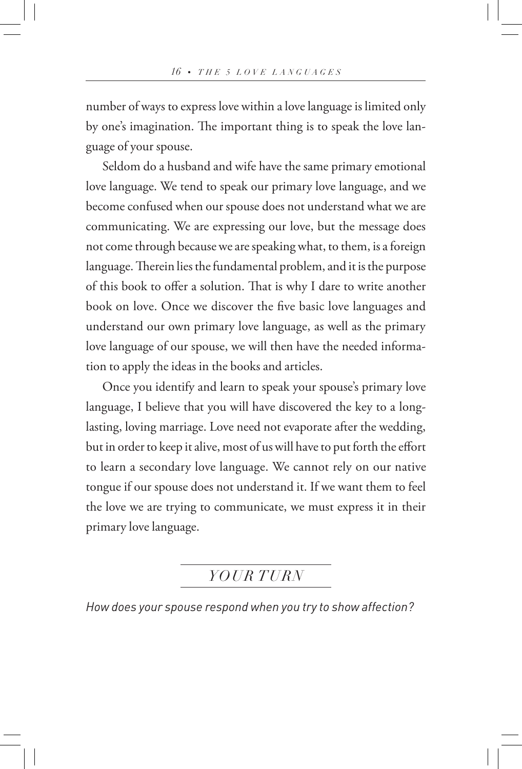number of ways to express love within a love language is limited only by one's imagination. The important thing is to speak the love language of your spouse.

Seldom do a husband and wife have the same primary emotional love language. We tend to speak our primary love language, and we become confused when our spouse does not understand what we are communicating. We are expressing our love, but the message does not come through because we are speaking what, to them, is a foreign language. Therein lies the fundamental problem, and it is the purpose of this book to offer a solution. That is why I dare to write another book on love. Once we discover the five basic love languages and understand our own primary love language, as well as the primary love language of our spouse, we will then have the needed information to apply the ideas in the books and articles.

Once you identify and learn to speak your spouse's primary love language, I believe that you will have discovered the key to a longlasting, loving marriage. Love need not evaporate after the wedding, but in order to keep it alive, most of us will have to put forth the effort to learn a secondary love language. We cannot rely on our native tongue if our spouse does not understand it. If we want them to feel the love we are trying to communicate, we must express it in their primary love language.

### *YOUR TURN*

*How does your spouse respond when you try to show affection?*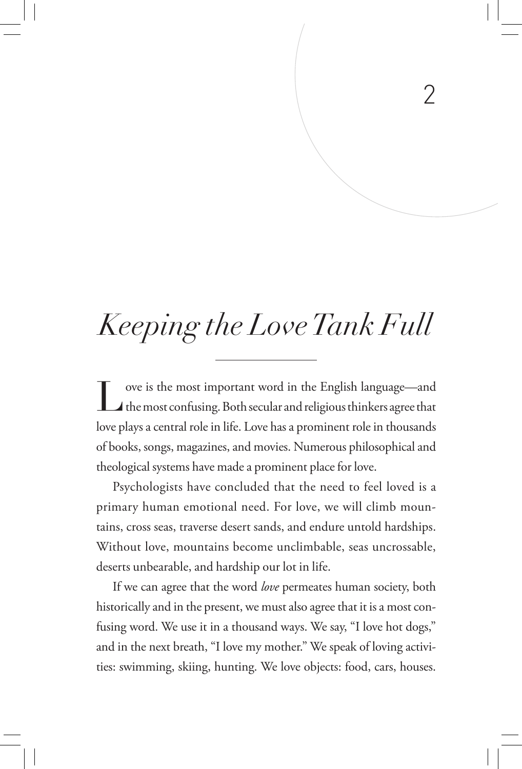## *Keeping the Love Tank Full*

Love is the most important word in the English language—and the most confusing. Both secular and religious thinkers agree that love plays a central role in life. Love has a prominent role in thousands of books, songs, magazines, and movies. Numerous philosophical and theological systems have made a prominent place for love.

Psychologists have concluded that the need to feel loved is a primary human emotional need. For love, we will climb mountains, cross seas, traverse desert sands, and endure untold hardships. Without love, mountains become unclimbable, seas uncrossable, deserts unbearable, and hardship our lot in life.

If we can agree that the word *love* permeates human society, both historically and in the present, we must also agree that it is a most confusing word. We use it in a thousand ways. We say, "I love hot dogs," and in the next breath, "I love my mother." We speak of loving activities: swimming, skiing, hunting. We love objects: food, cars, houses.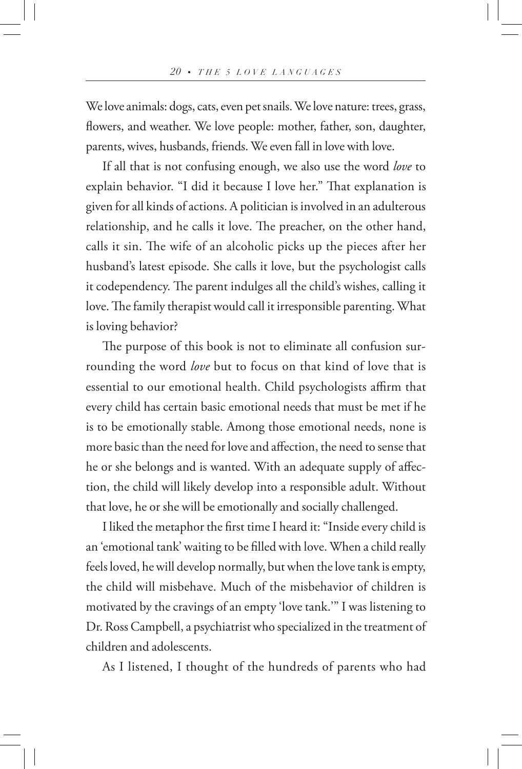We love animals: dogs, cats, even pet snails. We love nature: trees, grass, flowers, and weather. We love people: mother, father, son, daughter, parents, wives, husbands, friends. We even fall in love with love.

If all that is not confusing enough, we also use the word *love* to explain behavior. "I did it because I love her." That explanation is given for all kinds of actions. A politician is involved in an adulterous relationship, and he calls it love. The preacher, on the other hand, calls it sin. The wife of an alcoholic picks up the pieces after her husband's latest episode. She calls it love, but the psychologist calls it codependency. The parent indulges all the child's wishes, calling it love. The family therapist would call it irresponsible parenting. What is loving behavior?

The purpose of this book is not to eliminate all confusion surrounding the word *love* but to focus on that kind of love that is essential to our emotional health. Child psychologists affirm that every child has certain basic emotional needs that must be met if he is to be emotionally stable. Among those emotional needs, none is more basic than the need for love and affection, the need to sense that he or she belongs and is wanted. With an adequate supply of affection, the child will likely develop into a responsible adult. Without that love, he or she will be emotionally and socially challenged.

I liked the metaphor the first time I heard it: "Inside every child is an 'emotional tank' waiting to be filled with love. When a child really feels loved, he will develop normally, but when the love tank is empty, the child will misbehave. Much of the misbehavior of children is motivated by the cravings of an empty 'love tank.'" I was listening to Dr. Ross Campbell, a psychiatrist who specialized in the treatment of children and adolescents.

As I listened, I thought of the hundreds of parents who had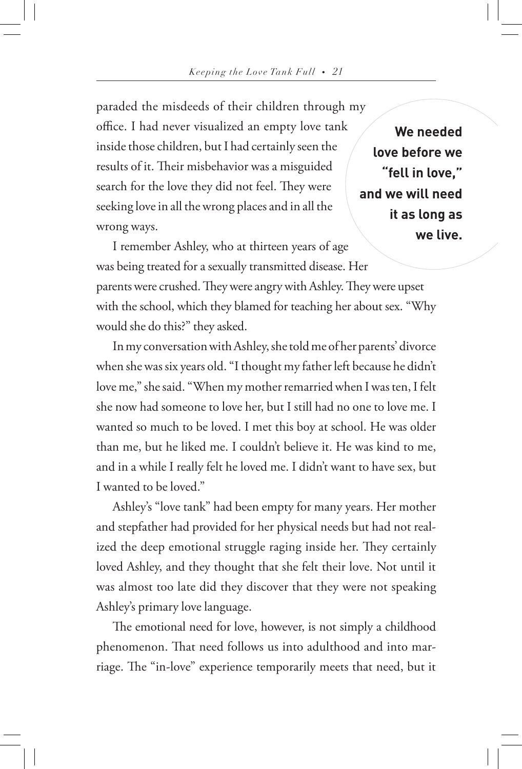paraded the misdeeds of their children through my office. I had never visualized an empty love tank inside those children, but I had certainly seen the results of it. Their misbehavior was a misguided search for the love they did not feel. They were seeking love in all the wrong places and in all the wrong ways.

**We needed love before we "fell in love," and we will need it as long as we live.**

I remember Ashley, who at thirteen years of age was being treated for a sexually transmitted disease. Her parents were crushed. They were angry with Ashley. They were upset with the school, which they blamed for teaching her about sex. "Why would she do this?" they asked.

In my conversation with Ashley, she told me of her parents' divorce when she was six years old. "I thought my father left because he didn't love me," she said. "When my mother remarried when I was ten, I felt she now had someone to love her, but I still had no one to love me. I wanted so much to be loved. I met this boy at school. He was older than me, but he liked me. I couldn't believe it. He was kind to me, and in a while I really felt he loved me. I didn't want to have sex, but I wanted to be loved."

Ashley's "love tank" had been empty for many years. Her mother and stepfather had provided for her physical needs but had not realized the deep emotional struggle raging inside her. They certainly loved Ashley, and they thought that she felt their love. Not until it was almost too late did they discover that they were not speaking Ashley's primary love language.

The emotional need for love, however, is not simply a childhood phenomenon. That need follows us into adulthood and into marriage. The "in-love" experience temporarily meets that need, but it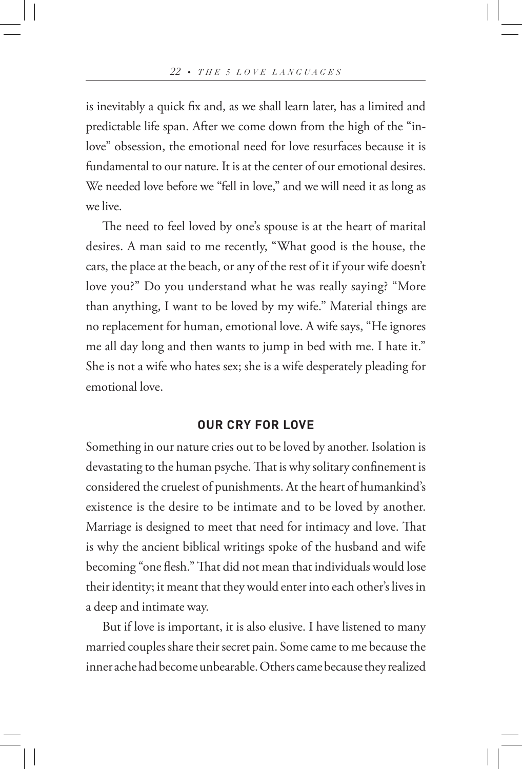is inevitably a quick fix and, as we shall learn later, has a limited and predictable life span. After we come down from the high of the "inlove" obsession, the emotional need for love resurfaces because it is fundamental to our nature. It is at the center of our emotional desires. We needed love before we "fell in love," and we will need it as long as we live.

The need to feel loved by one's spouse is at the heart of marital desires. A man said to me recently, "What good is the house, the cars, the place at the beach, or any of the rest of it if your wife doesn't love you?" Do you understand what he was really saying? "More than anything, I want to be loved by my wife." Material things are no replacement for human, emotional love. A wife says, "He ignores me all day long and then wants to jump in bed with me. I hate it." She is not a wife who hates sex; she is a wife desperately pleading for emotional love.

#### **OUR CRY FOR LOVE**

Something in our nature cries out to be loved by another. Isolation is devastating to the human psyche. That is why solitary confinement is considered the cruelest of punishments. At the heart of humankind's existence is the desire to be intimate and to be loved by another. Marriage is designed to meet that need for intimacy and love. That is why the ancient biblical writings spoke of the husband and wife becoming "one flesh." That did not mean that individuals would lose their identity; it meant that they would enter into each other's lives in a deep and intimate way.

But if love is important, it is also elusive. I have listened to many married couples share their secret pain. Some came to me because the inner ache had become unbearable. Others came because they realized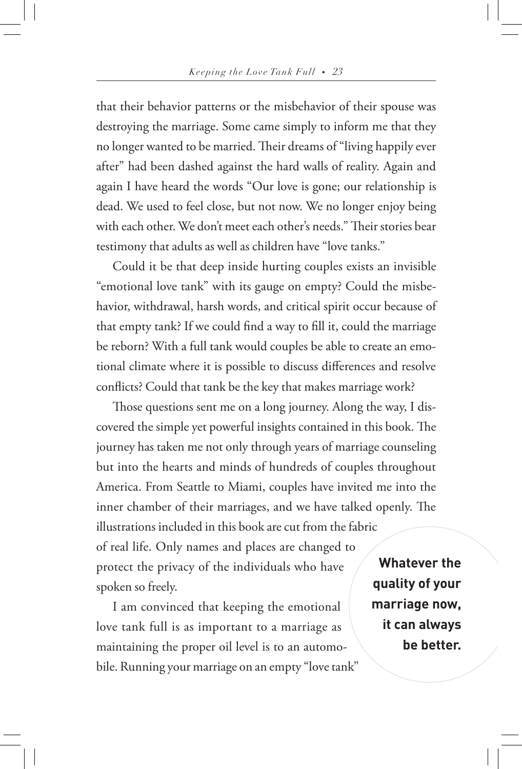that their behavior patterns or the misbehavior of their spouse was destroying the marriage. Some came simply to inform me that they no longer wanted to be married. Their dreams of "living happily ever after" had been dashed against the hard walls of reality. Again and again I have heard the words "Our love is gone; our relationship is dead. We used to feel close, but not now. We no longer enjoy being with each other. We don't meet each other's needs." Their stories bear testimony that adults as well as children have "love tanks."

Could it be that deep inside hurting couples exists an invisible "emotional love tank" with its gauge on empty? Could the misbehavior, withdrawal, harsh words, and critical spirit occur because of that empty tank? If we could find a way to fill it, could the marriage be reborn? With a full tank would couples be able to create an emotional climate where it is possible to discuss differences and resolve conflicts? Could that tank be the key that makes marriage work?

Those questions sent me on a long journey. Along the way, I discovered the simple yet powerful insights contained in this book. The journey has taken me not only through years of marriage counseling but into the hearts and minds of hundreds of couples throughout America. From Seattle to Miami, couples have invited me into the inner chamber of their marriages, and we have talked openly. The illustrations included in this book are cut from the fabric

of real life. Only names and places are changed to protect the privacy of the individuals who have spoken so freely.

I am convinced that keeping the emotional love tank full is as important to a marriage as maintaining the proper oil level is to an automobile. Running your marriage on an empty "love tank"

**Whatever the quality of your marriage now, it can always be better.**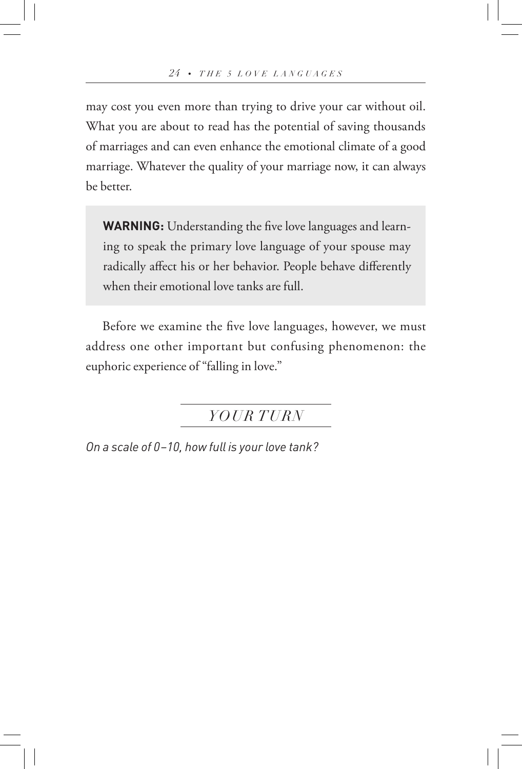may cost you even more than trying to drive your car without oil. What you are about to read has the potential of saving thousands of marriages and can even enhance the emotional climate of a good marriage. Whatever the quality of your marriage now, it can always be better.

**WARNING:** Understanding the five love languages and learning to speak the primary love language of your spouse may radically affect his or her behavior. People behave differently when their emotional love tanks are full.

Before we examine the five love languages, however, we must address one other important but confusing phenomenon: the euphoric experience of "falling in love."

*YOUR TURN* 

*On a scale of 0–10, how full is your love tank?*